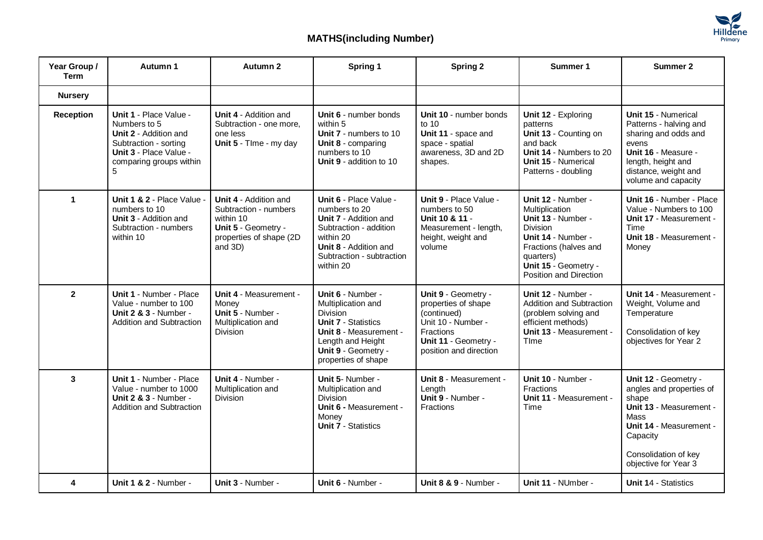

## **MATHS(including Number)**

| Year Group /<br><b>Term</b> | Autumn 1                                                                                                                                      | Autumn 2                                                                                                                 | Spring 1                                                                                                                                                                                 | Spring 2                                                                                                                                              | Summer 1                                                                                                                                                                             | Summer 2                                                                                                                                                                                   |
|-----------------------------|-----------------------------------------------------------------------------------------------------------------------------------------------|--------------------------------------------------------------------------------------------------------------------------|------------------------------------------------------------------------------------------------------------------------------------------------------------------------------------------|-------------------------------------------------------------------------------------------------------------------------------------------------------|--------------------------------------------------------------------------------------------------------------------------------------------------------------------------------------|--------------------------------------------------------------------------------------------------------------------------------------------------------------------------------------------|
| <b>Nursery</b>              |                                                                                                                                               |                                                                                                                          |                                                                                                                                                                                          |                                                                                                                                                       |                                                                                                                                                                                      |                                                                                                                                                                                            |
| <b>Reception</b>            | Unit 1 - Place Value -<br>Numbers to 5<br>Unit 2 - Addition and<br>Subtraction - sorting<br>Unit 3 - Place Value -<br>comparing groups within | Unit 4 - Addition and<br>Subtraction - one more,<br>one less<br>Unit 5 - Tlme - my day                                   | Unit 6 - number bonds<br>within 5<br>Unit 7 - numbers to 10<br>Unit 8 - comparing<br>numbers to 10<br>Unit 9 - addition to 10                                                            | Unit 10 - number bonds<br>to 10<br>Unit 11 - space and<br>space - spatial<br>awareness, 3D and 2D<br>shapes.                                          | Unit 12 - Exploring<br>patterns<br>Unit 13 - Counting on<br>and back<br>Unit 14 - Numbers to 20<br><b>Unit 15 - Numerical</b><br>Patterns - doubling                                 | <b>Unit 15 - Numerical</b><br>Patterns - halving and<br>sharing and odds and<br>evens<br>Unit 16 - Measure -<br>length, height and<br>distance, weight and<br>volume and capacity          |
| 1                           | Unit 1 & 2 - Place Value -<br>numbers to 10<br>Unit 3 - Addition and<br>Subtraction - numbers<br>within 10                                    | Unit 4 - Addition and<br>Subtraction - numbers<br>within 10<br>Unit 5 - Geometry -<br>properties of shape (2D<br>and 3D) | Unit 6 - Place Value -<br>numbers to 20<br><b>Unit 7 - Addition and</b><br>Subtraction - addition<br>within 20<br><b>Unit 8 - Addition and</b><br>Subtraction - subtraction<br>within 20 | Unit 9 - Place Value -<br>numbers to 50<br>Unit 10 & 11 -<br>Measurement - length,<br>height, weight and<br>volume                                    | Unit 12 - Number -<br>Multiplication<br>Unit 13 - Number -<br>Division<br>Unit 14 - Number -<br>Fractions (halves and<br>quarters)<br>Unit 15 - Geometry -<br>Position and Direction | Unit 16 - Number - Place<br>Value - Numbers to 100<br>Unit 17 - Measurement -<br>Time<br>Unit 18 - Measurement -<br>Money                                                                  |
| $\mathbf{2}$                | Unit 1 - Number - Place<br>Value - number to 100<br><b>Unit 2 &amp; 3 - Number -</b><br>Addition and Subtraction                              | Unit 4 - Measurement -<br>Money<br>Unit 5 - Number -<br>Multiplication and<br><b>Division</b>                            | Unit 6 - Number -<br>Multiplication and<br>Division<br><b>Unit 7 - Statistics</b><br>Unit 8 - Measurement -<br>Length and Height<br>Unit 9 - Geometry -<br>properties of shape           | Unit 9 - Geometry -<br>properties of shape<br>(continued)<br>Unit 10 - Number -<br><b>Fractions</b><br>Unit 11 - Geometry -<br>position and direction | Unit 12 - Number -<br>Addition and Subtraction<br>(problem solving and<br>efficient methods)<br>Unit 13 - Measurement -<br>Time                                                      | Unit 14 - Measurement -<br>Weight, Volume and<br>Temperature<br>Consolidation of key<br>objectives for Year 2                                                                              |
| 3                           | Unit 1 - Number - Place<br>Value - number to 1000<br><b>Unit 2 &amp; 3 - Number -</b><br><b>Addition and Subtraction</b>                      | Unit 4 - Number -<br>Multiplication and<br>Division                                                                      | Unit 5- Number -<br>Multiplication and<br><b>Division</b><br><b>Unit 6 - Measurement -</b><br>Money<br><b>Unit 7 - Statistics</b>                                                        | Unit 8 - Measurement -<br>Length<br>Unit 9 - Number -<br><b>Fractions</b>                                                                             | Unit 10 - Number -<br>Fractions<br>Unit 11 - Measurement -<br>Time                                                                                                                   | Unit 12 - Geometry -<br>angles and properties of<br>shape<br>Unit 13 - Measurement -<br><b>Mass</b><br>Unit 14 - Measurement -<br>Capacity<br>Consolidation of key<br>objective for Year 3 |
| 4                           | <b>Unit 1 &amp; 2 - Number -</b>                                                                                                              | Unit 3 - Number -                                                                                                        | Unit 6 - Number -                                                                                                                                                                        | Unit 8 & 9 - Number -                                                                                                                                 | Unit 11 - NUmber -                                                                                                                                                                   | Unit 14 - Statistics                                                                                                                                                                       |